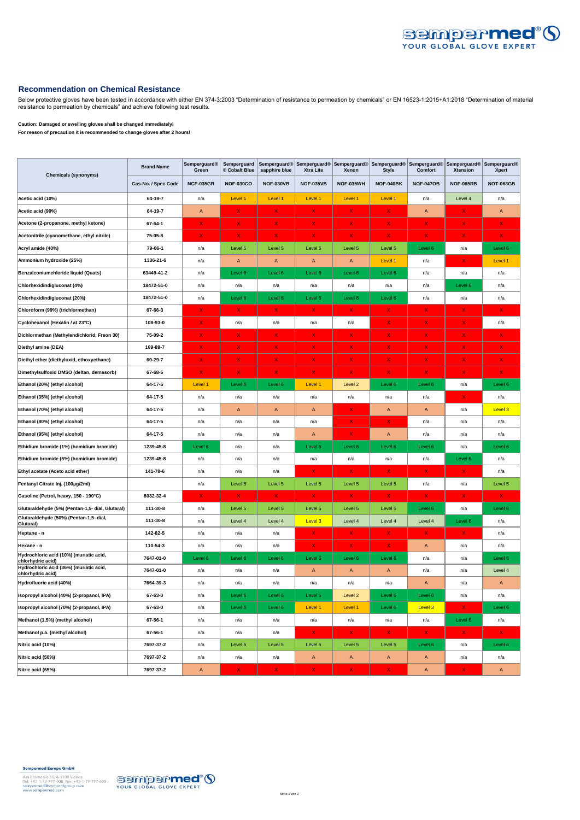

## **Recommendation on Chemical Resistance**

Below protective gloves have been tested in accordance with either EN 374-3:2003 "Determination of resistance to permeation by chemicals" or EN 16523-1:2015+A1:2018 "Determination of material resistance to permeation by chemicals" and achieve following test results.

## **Caution: Damaged or swelling gloves shall be changed immediately! For reason of precaution it is recommended to change gloves after 2 hours!**

|                                                              | <b>Brand Name</b>   | <b>Semperguard®</b><br>Green | Semperguard<br>® Cobalt Blue | Semperguard®<br>sapphire blue | <b>Xtra Lite</b> | Xenon            | <b>Style</b>     | Semperguard® Semperguard® Semperguard® Semperguard® Semperguard® Semperguard®<br>Comfort | <b>Xtension</b>                      | Xpert            |
|--------------------------------------------------------------|---------------------|------------------------------|------------------------------|-------------------------------|------------------|------------------|------------------|------------------------------------------------------------------------------------------|--------------------------------------|------------------|
| <b>Chemicals (synonyms)</b>                                  | Cas-No. / Spec Code | <b>NCF-035GR</b>             | <b>NOF-030CO</b>             | <b>NOF-030VB</b>              | <b>NOF-035VB</b> | <b>NOF-035WH</b> | <b>NOF-040BK</b> | <b>NOF-047OB</b>                                                                         | <b>NOF-065RB</b>                     | <b>NOT-063GB</b> |
| Acetic acid (10%)                                            | 64-19-7             | n/a                          | Level 1                      | Level 1                       | Level 1          | Level 1          | Level 1          | n/a                                                                                      | Level 4                              | n/a              |
| Acetic acid (99%)                                            | 64-19-7             | $\mathsf A$                  | X.                           | X                             | x                | X                | X                | $\mathsf{A}$                                                                             | x                                    | $\mathsf{A}$     |
| Acetone (2-propanone, methyl ketone)                         | 67-64-1             | x                            | X.                           | x                             | x                | x                | x                | x                                                                                        | x                                    | x                |
| Acetonitrile (cyanomethane, ethyl nitrile)                   | 75-05-8             | $\mathsf X$                  | $\mathsf{X}$                 | X                             | x                | X                | x                | X                                                                                        | x                                    | $\mathsf{X}^-$   |
| Acryl amide (40%)                                            | 79-06-1             | n/a                          | Level 5                      | Level 5                       | Level 5          | Level 5          | Level 5          | Level 6                                                                                  | n/a                                  | Level 6          |
| Ammonium hydroxide (25%)                                     | 1336-21-6           | n/a                          | A                            | $\overline{A}$                | A                | A                | Level 1          | n/a                                                                                      | x                                    | Level 1          |
| Benzalconiumchloride liquid (Quats)                          | 63449-41-2          | n/a                          | Level 6                      | Level 6                       | Level 6          | Level 6          | Level 6          | n/a                                                                                      | n/a                                  | n/a              |
| Chlorhexidindigluconat (4%)                                  | 18472-51-0          | n/a                          | n/a                          | n/a                           | n/a              | n/a              | n/a              | n/a                                                                                      | Level 6                              | n/a              |
| Chlorhexidindigluconat (20%)                                 | 18472-51-0          | n/a                          | Level 6                      | Level 6                       | Level 6          | Level 6          | Level 6          | n/a                                                                                      | n/a                                  | n/a              |
| Chloroform (99%) (trichlormethan)                            | 67-66-3             | x                            | x                            | $\mathsf X$                   | x                | x                | x                | X                                                                                        | x                                    | X.               |
| Cyclohexanol (Hexalin / at 23°C)                             | 108-93-0            | X.                           | n/a                          | n/a                           | n/a              | n/a              | X.               | x                                                                                        | x                                    | n/a              |
| Dichlormethan (Methylendichlorid, Freon 30)                  | 75-09-2             | X                            | X.                           | X                             | X                | X                | X                | x                                                                                        | x                                    | x                |
| Diethyl amine (DEA)                                          | 109-89-7            | x                            | X.                           | x                             | x                | X                | X                | x                                                                                        | X                                    | x                |
| Diethyl ether (diethyloxid, ethoxyethane)                    | 60-29-7             | X                            | X.                           | x                             | x                | X                | x                | x                                                                                        | x                                    | x.               |
| Dimethylsulfoxid DMSO (deltan, demasorb)                     | 67-68-5             | x                            | x                            | х                             | x                | x                | x                | X                                                                                        | Х                                    | X                |
| Ethanol (20%) (ethyl alcohol)                                | 64-17-5             | Level 1                      | Level 6                      | Level 6                       | Level 1          | Level 2          | Level 6          | Level 6                                                                                  | n/a                                  | Level 6          |
| Ethanol (35%) (ethyl alcohol)                                | 64-17-5             | n/a                          | n/a                          | n/a                           | n/a              | n/a              | n/a              | n/a                                                                                      | x                                    | n/a              |
| Ethanol (70%) (ethyl alcohol)                                | 64-17-5             | n/a                          | A                            | A                             | A                | x                | $\mathsf A$      | A                                                                                        | n/a                                  | Level 3          |
| Ethanol (80%) (ethyl alcohol)                                | 64-17-5             | n/a                          | n/a                          | n/a                           | n/a              | X                | X                | n/a                                                                                      | n/a                                  | n/a              |
| Ethanol (95%) (ethyl alcohol)                                | 64-17-5             | n/a                          | n/a                          | n/a                           | Α                | x                | A                | n/a                                                                                      | n/a                                  | n/a              |
| Ethidium bromide (1%) (homidium bromide)                     | 1239-45-8           | Level 6                      | n/a                          | n/a                           | Level 6          | Level 6          | Level 6          | Level 6                                                                                  | n/a                                  | Level 6          |
| Ethidium bromide (5%) (homidium bromide)                     | 1239-45-8           | n/a                          | n/a                          | n/a                           | n/a              | n/a              | n/a              | n/a                                                                                      | Level 6                              | n/a              |
| Ethyl acetate (Aceto acid ether)                             | 141-78-6            | n/a                          | n/a                          | n/a                           | x                | x                | X                | x                                                                                        | х                                    | n/a              |
| Fentanyl Citrate Inj. (100µg/2ml)                            |                     | n/a                          | Level 5                      | Level 5                       | Level 5          | Level 5          | Level 5          | n/a                                                                                      | n/a                                  | Level 5          |
| Gasoline (Petrol, heavy, 150 - 190°C)                        | 8032-32-4           | X                            | x                            | x                             | x                | X                | X                | X                                                                                        | x                                    | X                |
| Glutaraldehyde (5%) (Pentan-1,5- dial, Glutaral)             | 111-30-8            | n/a                          | Level 5                      | Level 5                       | Level 5          | Level 5          | Level 5          | Level 6                                                                                  | n/a                                  | Level 6          |
| Glutaraldehyde (50%) (Pentan-1,5- dial,<br>Glutaral)         | 111-30-8            | n/a                          | Level 4                      | Level 4                       | Level 3          | Level 4          | Level 4          | Level 4                                                                                  | Level 6                              | n/a              |
| Heptane - n                                                  | 142-82-5            | n/a                          | n/a                          | n/a                           | x                | x                | X                | x                                                                                        | X                                    | n/a              |
| Hexane - n                                                   | 110-54-3            | n/a                          | n/a                          | n/a                           | x                | X                | X                | A                                                                                        | n/a                                  | n/a              |
| Hydrochloric acid (10%) (muriatic acid,<br>chlorhydric acid) | 7647-01-0           | Level 6                      | Level 6                      | Level 6                       | Level 6          | Level 6          | Level 6          | n/a                                                                                      | n/a                                  | Level 6          |
| Hydrochloric acid (36%) (muriatic acid,<br>chlorhydric acid) | 7647-01-0           | n/a                          | n/a                          | n/a                           | A                | A                | A                | n/a                                                                                      | n/a                                  | Level 4          |
| Hydrofluoric acid (40%)                                      | 7664-39-3           | n/a                          | n/a                          | n/a                           | n/a              | n/a              | n/a              | $\overline{A}$                                                                           | n/a                                  | $\mathsf{A}$     |
| Isopropyl alcohol (40%) (2-propanol, IPA)                    | 67-63-0             | n/a                          | Level 6                      | Level 6                       | Level 6          | Level 2          | Level 6          | Level 6                                                                                  | n/a                                  | n/a              |
| Isopropyl alcohol (70%) (2-propanol, IPA)                    | 67-63-0             | n/a                          | Level 6                      | Level 6                       | Level 1          | Level 1          | Level 6          | Level 3                                                                                  | $\mathsf{X}^{\scriptscriptstyle{+}}$ | Level 6          |
| Methanol (1,5%) (methyl alcohol)                             | 67-56-1             | n/a                          | n/a                          | n/a                           | n/a              | n/a              | n/a              | n/a                                                                                      | Level 6                              | n/a              |
| Methanol p.a. (methyl alcohol)                               | 67-56-1             | n/a                          | n/a                          | n/a                           | $\mathsf{X}^-$   | $\mathsf X$      | $\mathsf{X}^-$   | x                                                                                        | $X =$                                | $\mathsf{X}^-$   |
| Nitric acid (10%)                                            | 7697-37-2           | n/a                          | Level 5                      | Level 5                       | Level 5          | Level 5          | Level 5          | Level 6                                                                                  | n/a                                  | Level 6          |
| Nitric acid (50%)                                            | 7697-37-2           | n/a                          | n/a                          | n/a                           | A                | A                | A                | A                                                                                        | n/a                                  | n/a              |
| Nitric acid (65%)                                            | 7697-37-2           | $\mathsf A$                  | X.                           | x                             | X                | X                | x                | A                                                                                        | x                                    | $\mathsf{A}$     |